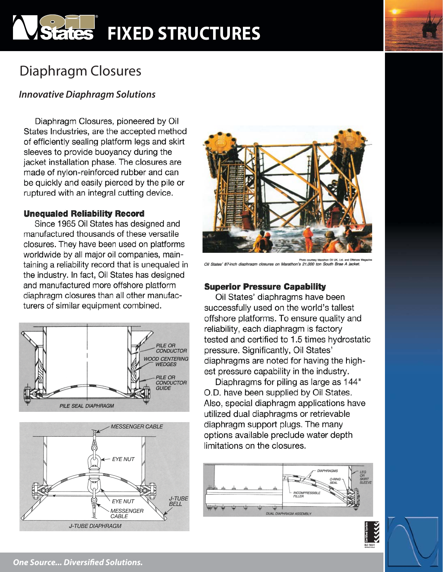# **States FIXED STRUCTURES**

# Diaphragm Closures

## *Innovative Diaphragm Solutions*

*Biaphragm Closures, pioneered by Oil* States Industries, are the accepted method of efficiently sealing platform legs and skirt<br>sleeves to provide buoyancy during the jacket installation phase. The closures are made of nylon-reinforced rubber and can be quickly and easily pierced by the pile or ruptured with an integral cutting device.

### **Unequaled Reliability Record**

Since 1965 Oil States has designed and manufactured thousands of these versatile closures. They have been used on platforms worldwide by all major oil companies, maintaining a reliability record that is unequaled in the industry. In fact, Oil States has designed and manufactured more offshore platform diaphragm closures than all other manufacturers of similar equipment combined.







Photo courtesy Matalbon Oil UK, Usl. and Offices<br>Oil States' 87-inch diaphragm closures on Marathon's 21,000 ton South Brae A jacke

## **Superior Pressure Capability**

Oil States' diaphragms have been successfully used on the world's tallest offshore platforms. To ensure quality and reliability, each diaphragm is factory tested and certified to 1.5 times hydrostatic pressure. Significantly, Oil States' diaphragms are noted for having the highest pressure capability in the industry.

Diaphragms for piling as large as 144" O.D. have been supplied by Oil States. Also, special diaphragm applications have utilized dual diaphragms or retrievable diaphragm support plugs. The many options available preclude water depth limitations on the closures.